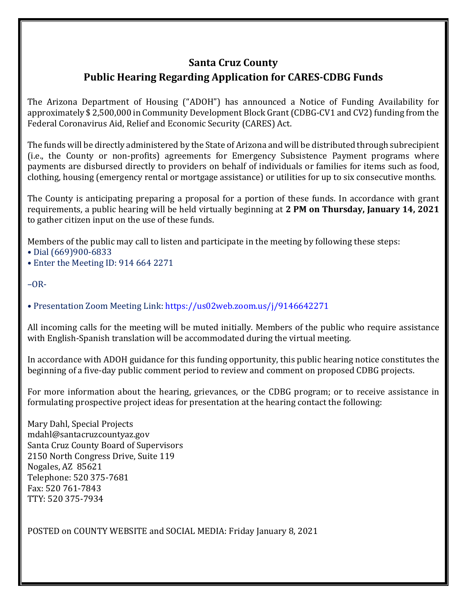## **Santa Cruz County Public Hearing Regarding Application for CARES-CDBG Funds**

The Arizona Department of Housing ("ADOH") has announced a Notice of Funding Availability for approximately \$ 2,500,000 in Community Development Block Grant (CDBG-CV1 and CV2) funding from the Federal Coronavirus Aid, Relief and Economic Security (CARES) Act.

The funds will be directly administered by the State of Arizona and will be distributed through subrecipient (i.e., the County or non-profits) agreements for Emergency Subsistence Payment programs where payments are disbursed directly to providers on behalf of individuals or families for items such as food, clothing, housing (emergency rental or mortgage assistance) or utilities for up to six consecutive months.

The County is anticipating preparing a proposal for a portion of these funds. In accordance with grant requirements, a public hearing will be held virtually beginning at **2 PM on Thursday, January 14, 2021** to gather citizen input on the use of these funds.

Members of the public may call to listen and participate in the meeting by following these steps:

- Dial (669)900-6833
- Enter the Meeting ID: 914 664 2271

 $-OR-$ 

• Presentation Zoom Meeting Link: https://us02web.zoom.us/j/9146642271

All incoming calls for the meeting will be muted initially. Members of the public who require assistance with English-Spanish translation will be accommodated during the virtual meeting.

In accordance with ADOH guidance for this funding opportunity, this public hearing notice constitutes the beginning of a five-day public comment period to review and comment on proposed CDBG projects.

For more information about the hearing, grievances, or the CDBG program; or to receive assistance in formulating prospective project ideas for presentation at the hearing contact the following:

Mary Dahl, Special Projects mdahl@santacruzcountyaz.gov Santa Cruz County Board of Supervisors 2150 North Congress Drive, Suite 119 Nogales, AZ 85621 Telephone: 520 375-7681 Fax: 520 761-7843 TTY: 520 375-7934

POSTED on COUNTY WEBSITE and SOCIAL MEDIA: Friday January 8, 2021